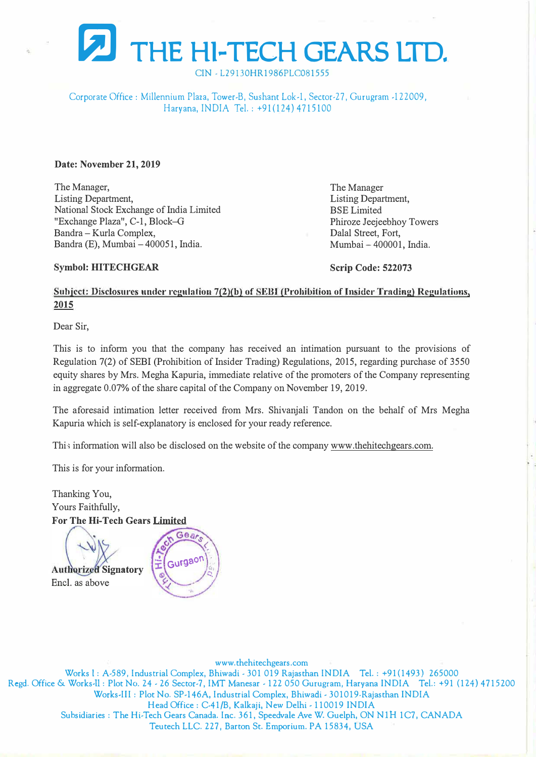

CIN - L29130HR1986PLC081555

Corporate Office: Millennium Plaza, Tower-B, Sushant Lok-1, Sector-27, Gurugram -122009, Haryana, INDIA Tel.: +91(124) 4715100

**Date: November 21, 2019** 

The Manager, Listing Department, National Stock Exchange of India Limited "Exchange Plaza", C-1, Block-G Bandra - Kurla Complex, Bandra (E), Mumbai - 400051, India.

The Manager Listing Department, BSE Limited Phiroze Jeejeebhoy Towers Dalal Street, Fort, Mumbai - 400001, India.

## **Symbol: HITECHGEAR**

**Scrip Code: 522073** 

## Subject: Disclosures under regulation 7(2)(b) of SEBI (Prohibition of Insider Trading) Regulations, **2015**

Dear Sir,

This is to inform you that the company has received an intimation pursuant to the provisions of Regulation 7(2) of SEBI (Prohibition of Insider Trading) Regulations, 2015, regarding purchase of 3550 equity shares by Mrs. Megha Kapuria, immediate relative of the promoters of the Company representing in aggregate 0.07% of the share capital of the Company on November 19, 2019.

The aforesaid intimation letter received from Mrs. Shivanjali Tandon on the behalf of Mrs Megha Kapuria which is self-explanatory is enclosed for your ready reference.

Thi•; information will also be disclosed on the website of the company www.thehitechgears.com.

This is for your information.

Thanking You, Yours Faithfully, **For The Hi-Tech Gears Limited** 

**Authorized Signatory** Encl. as above



www.thehitechgears.com Works l: A-589, Industrial Complex, Bhiwadi - 301 019 Rajasthan INDIA Tel.: +91(1493) 265000 Regd. Office & Works-11: Plot No. 24 - 26 Sector-7, IMT Manesar - 122 050 Gurugram, Haryana INDIA Tel.: +91 (124) 4715200 Works-III: Plot No. SP-146A, Industrial Complex, Bhiwadi - 301019-Rajasthan INDIA Head Office: C-41/B, Kalkaji, New Delhi - 110019 INDIA Subsidiaries: The Hi-Tech Gears Canada. Inc. 361, Speedvale Ave W. Guelph, ON NlH 1C7, CANADA Teutech LLC. 227, Barton St. Emporium. PA 15834, USA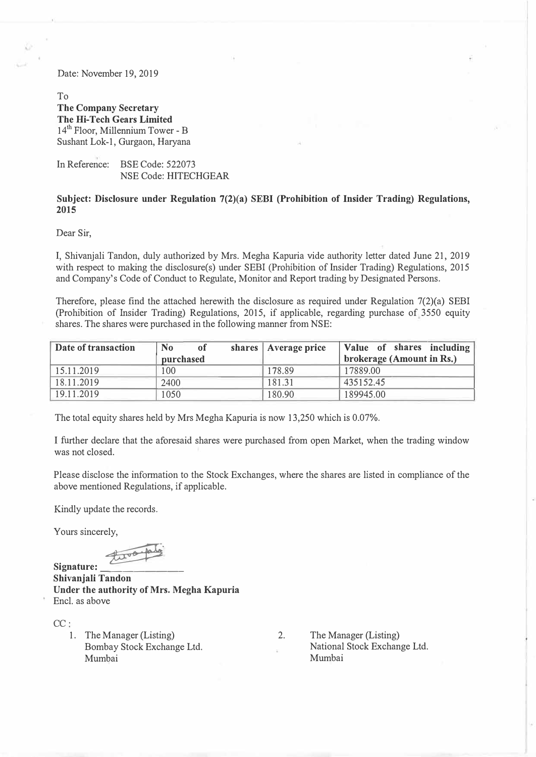Date: November 19, 2019

To **The Company Secretary The Hi-Tech Gears Limited**   $14<sup>th</sup>$  Floor, Millennium Tower - B Sushant Lok-1, Gurgaon, Haryana

In Reference: BSE Code: 522073 NSE Code: HITECHGEAR

## **Subject: Disclosure under Regulation 7(2)(a) SEBI (Prohibition of Insider Trading) Regulations, 2015**

Dear Sir,

I, Shivanjali Tandon, duly authorized by Mrs. Megha Kapuria vide authority letter dated June 21, 2019 with respect to making the disclosure(s) under SEBI (Prohibition of Insider Trading) Regulations, 2015 and Company's Code of Conduct to Regulate, Monitor and Report trading by Designated Persons.

Therefore, please find the attached herewith the disclosure as required under Regulation 7(2)(a) SEBI (Prohibition of Insider Trading) Regulations, 2015, if applicable, regarding purchase of,3550 equity shares. The shares were purchased in the following manner from NSE:

| Date of transaction | <b>No</b><br>of | shares   Average price | Value of shares including |
|---------------------|-----------------|------------------------|---------------------------|
|                     | purchased       |                        | brokerage (Amount in Rs.) |
| 15.11.2019          | 100             | 178.89                 | 17889.00                  |
| 18.11.2019          | 2400            | 181.31                 | 435152.45                 |
| 19.11.2019          | 1050            | 180.90                 | 189945.00                 |

The total equity shares held by Mrs Megha Kapuria is now 13,250 which is 0.07%.

I further declare that the aforesaid shares were purchased from open Market, when the trading window was not closed.

Please disclose the information to the Stock Exchanges, where the shares are listed in compliance of the above mentioned Regulations, if applicable.

Kindly update the records.

Yours sincerely,

Signature: <del>Lava ple</del>

**Shivanjali Tandon Under the authority of Mrs. Megha Kapuria**  Encl. as above

CC:

1. The Manager (Listing) Bombay Stock Exchange Ltd. Mumbai

2. The Manager (Listing) National Stock Exchange Ltd. Mumbai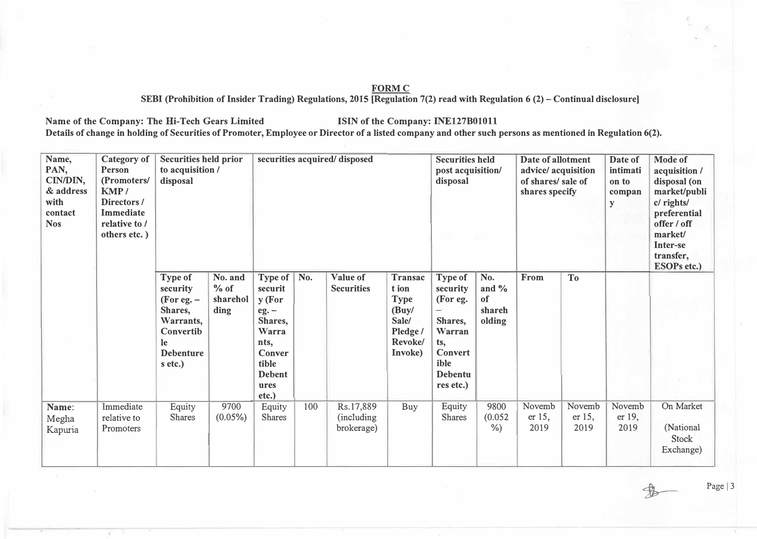## **FORMC**

SEBI (Prohibition of Insider Trading) Regulations, 2015 [Regulation 7(2) read with Regulation 6 (2) – Continual disclosure]

Name of the Company: The Hi-Tech Gears Limited **ISIN** of the Company: INE127B01011

Details of change in holding of Securities of Promoter, Employee or Director of a listed company and other such persons as mentioned in Regulation 6(2).

| Name,<br>PAN,<br>CIN/DIN,<br>& address<br>with<br>contact<br><b>Nos</b> | <b>Category</b> of<br><b>Person</b><br>(Promoters/<br>KMP/<br>Directors/<br>Immediate<br>relative to /<br>others etc.) | <b>Securities held prior</b><br>to acquisition /<br>disposal                                                | securities acquired/disposed          |                                                                                                                                |     |                                        | <b>Securities held</b><br>post acquisition/<br>disposal                            |                                                                                                                           | Date of allotment<br>advice/ acquisition<br>of shares/ sale of<br>shares specify |                             | Date of<br>intimati<br>on to<br>compan<br>${\bf y}$ | <b>Mode of</b><br>acquisition /<br>disposal (on<br>market/publi<br>c/ rights/<br>preferential<br>offer / off<br>market/<br>Inter-se<br>transfer,<br><b>ESOPs etc.)</b> |                                              |
|-------------------------------------------------------------------------|------------------------------------------------------------------------------------------------------------------------|-------------------------------------------------------------------------------------------------------------|---------------------------------------|--------------------------------------------------------------------------------------------------------------------------------|-----|----------------------------------------|------------------------------------------------------------------------------------|---------------------------------------------------------------------------------------------------------------------------|----------------------------------------------------------------------------------|-----------------------------|-----------------------------------------------------|------------------------------------------------------------------------------------------------------------------------------------------------------------------------|----------------------------------------------|
|                                                                         |                                                                                                                        | Type of<br>security<br>(For eq. –<br>Shares,<br>Warrants,<br>Convertib<br>le<br><b>Debenture</b><br>s etc.) | No. and<br>$%$ of<br>sharehol<br>ding | Type of   No.<br>securit<br>y (For<br>$eg. -$<br>Shares,<br>Warra<br>nts,<br>Conver<br>tible<br><b>Debent</b><br>ures<br>etc.) |     | <b>Value of</b><br><b>Securities</b>   | Transac<br>t ion<br><b>Type</b><br>(Buy/<br>Sale/<br>Pledge/<br>Revoke/<br>Invoke) | Type of<br>security<br>(For eg.<br>-<br>Shares,<br>Warran<br>ts,<br><b>Convert</b><br>ible<br><b>Debentu</b><br>res etc.) | No.<br>and $\%$<br>of<br>shareh<br>olding                                        | From                        | T <sub>o</sub>                                      |                                                                                                                                                                        |                                              |
| Name:<br>Megha<br>Kapuria                                               | Immediate<br>relative to<br>Promoters                                                                                  | Equity<br><b>Shares</b>                                                                                     | 9700<br>$(0.05\%)$                    | Equity<br><b>Shares</b>                                                                                                        | 100 | Rs.17,889<br>(including)<br>brokerage) | Buy                                                                                | Equity<br><b>Shares</b>                                                                                                   | 9800<br>(0.052)<br>$\%$ )                                                        | Novemb<br>er $15$ ,<br>2019 | Novemb<br>$er 15$ ,<br>2019                         | Novemb<br>er 19,<br>2019                                                                                                                                               | On Market<br>(National<br>Stock<br>Exchange) |

Page | 3

 $\frac{1}{2}$